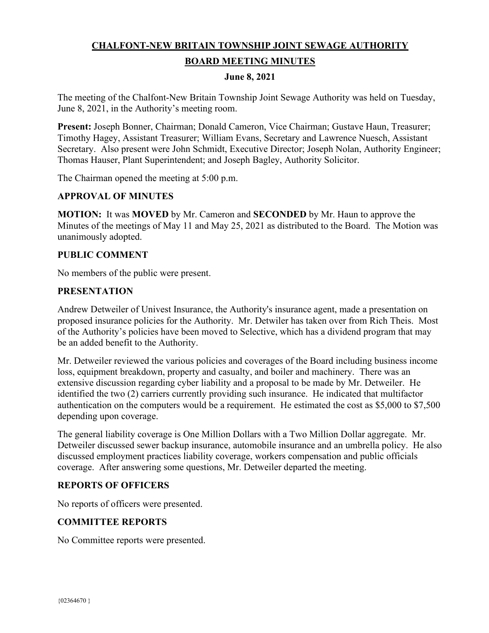# **CHALFONT-NEW BRITAIN TOWNSHIP JOINT SEWAGE AUTHORITY BOARD MEETING MINUTES**

#### **June 8, 2021**

The meeting of the Chalfont-New Britain Township Joint Sewage Authority was held on Tuesday, June 8, 2021, in the Authority's meeting room.

**Present:** Joseph Bonner, Chairman; Donald Cameron, Vice Chairman; Gustave Haun, Treasurer; Timothy Hagey, Assistant Treasurer; William Evans, Secretary and Lawrence Nuesch, Assistant Secretary. Also present were John Schmidt, Executive Director; Joseph Nolan, Authority Engineer; Thomas Hauser, Plant Superintendent; and Joseph Bagley, Authority Solicitor.

The Chairman opened the meeting at 5:00 p.m.

#### **APPROVAL OF MINUTES**

**MOTION:** It was **MOVED** by Mr. Cameron and **SECONDED** by Mr. Haun to approve the Minutes of the meetings of May 11 and May 25, 2021 as distributed to the Board. The Motion was unanimously adopted.

#### **PUBLIC COMMENT**

No members of the public were present.

#### **PRESENTATION**

Andrew Detweiler of Univest Insurance, the Authority's insurance agent, made a presentation on proposed insurance policies for the Authority. Mr. Detwiler has taken over from Rich Theis. Most of the Authority's policies have been moved to Selective, which has a dividend program that may be an added benefit to the Authority.

Mr. Detweiler reviewed the various policies and coverages of the Board including business income loss, equipment breakdown, property and casualty, and boiler and machinery. There was an extensive discussion regarding cyber liability and a proposal to be made by Mr. Detweiler. He identified the two (2) carriers currently providing such insurance. He indicated that multifactor authentication on the computers would be a requirement. He estimated the cost as \$5,000 to \$7,500 depending upon coverage.

The general liability coverage is One Million Dollars with a Two Million Dollar aggregate. Mr. Detweiler discussed sewer backup insurance, automobile insurance and an umbrella policy. He also discussed employment practices liability coverage, workers compensation and public officials coverage. After answering some questions, Mr. Detweiler departed the meeting.

#### **REPORTS OF OFFICERS**

No reports of officers were presented.

## **COMMITTEE REPORTS**

No Committee reports were presented.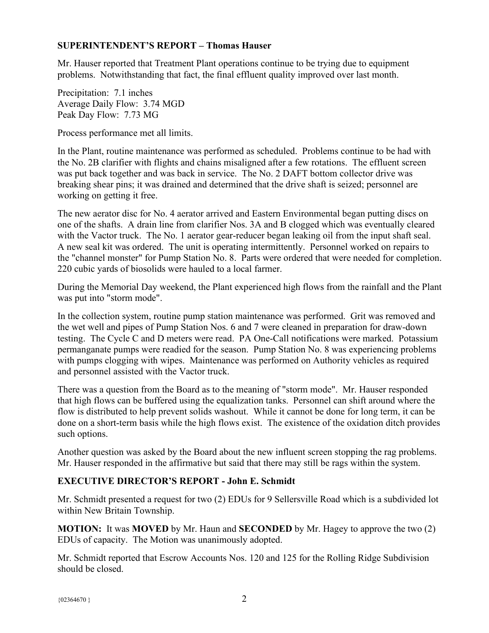## **SUPERINTENDENT'S REPORT – Thomas Hauser**

Mr. Hauser reported that Treatment Plant operations continue to be trying due to equipment problems. Notwithstanding that fact, the final effluent quality improved over last month.

Precipitation: 7.1 inches Average Daily Flow: 3.74 MGD Peak Day Flow: 7.73 MG

Process performance met all limits.

In the Plant, routine maintenance was performed as scheduled. Problems continue to be had with the No. 2B clarifier with flights and chains misaligned after a few rotations. The effluent screen was put back together and was back in service. The No. 2 DAFT bottom collector drive was breaking shear pins; it was drained and determined that the drive shaft is seized; personnel are working on getting it free.

The new aerator disc for No. 4 aerator arrived and Eastern Environmental began putting discs on one of the shafts. A drain line from clarifier Nos. 3A and B clogged which was eventually cleared with the Vactor truck. The No. 1 aerator gear-reducer began leaking oil from the input shaft seal. A new seal kit was ordered. The unit is operating intermittently. Personnel worked on repairs to the "channel monster" for Pump Station No. 8. Parts were ordered that were needed for completion. 220 cubic yards of biosolids were hauled to a local farmer.

During the Memorial Day weekend, the Plant experienced high flows from the rainfall and the Plant was put into "storm mode".

In the collection system, routine pump station maintenance was performed. Grit was removed and the wet well and pipes of Pump Station Nos. 6 and 7 were cleaned in preparation for draw-down testing. The Cycle C and D meters were read. PA One-Call notifications were marked. Potassium permanganate pumps were readied for the season. Pump Station No. 8 was experiencing problems with pumps clogging with wipes. Maintenance was performed on Authority vehicles as required and personnel assisted with the Vactor truck.

There was a question from the Board as to the meaning of "storm mode". Mr. Hauser responded that high flows can be buffered using the equalization tanks. Personnel can shift around where the flow is distributed to help prevent solids washout. While it cannot be done for long term, it can be done on a short-term basis while the high flows exist. The existence of the oxidation ditch provides such options.

Another question was asked by the Board about the new influent screen stopping the rag problems. Mr. Hauser responded in the affirmative but said that there may still be rags within the system.

# **EXECUTIVE DIRECTOR'S REPORT - John E. Schmidt**

Mr. Schmidt presented a request for two (2) EDUs for 9 Sellersville Road which is a subdivided lot within New Britain Township.

**MOTION:** It was **MOVED** by Mr. Haun and **SECONDED** by Mr. Hagey to approve the two (2) EDUs of capacity. The Motion was unanimously adopted.

Mr. Schmidt reported that Escrow Accounts Nos. 120 and 125 for the Rolling Ridge Subdivision should be closed.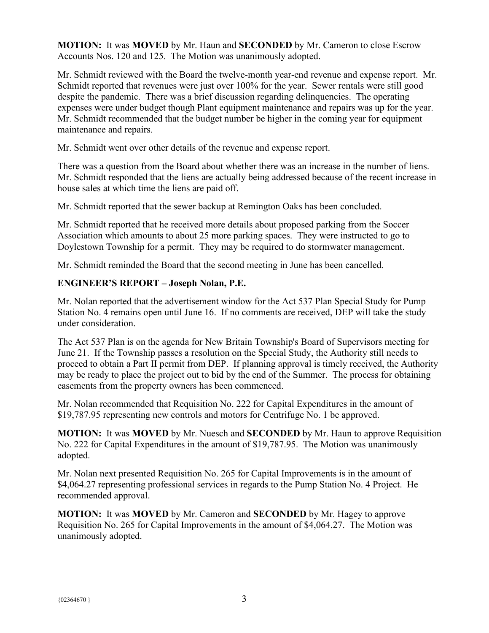**MOTION:** It was **MOVED** by Mr. Haun and **SECONDED** by Mr. Cameron to close Escrow Accounts Nos. 120 and 125. The Motion was unanimously adopted.

Mr. Schmidt reviewed with the Board the twelve-month year-end revenue and expense report. Mr. Schmidt reported that revenues were just over 100% for the year. Sewer rentals were still good despite the pandemic. There was a brief discussion regarding delinquencies. The operating expenses were under budget though Plant equipment maintenance and repairs was up for the year. Mr. Schmidt recommended that the budget number be higher in the coming year for equipment maintenance and repairs.

Mr. Schmidt went over other details of the revenue and expense report.

There was a question from the Board about whether there was an increase in the number of liens. Mr. Schmidt responded that the liens are actually being addressed because of the recent increase in house sales at which time the liens are paid off.

Mr. Schmidt reported that the sewer backup at Remington Oaks has been concluded.

Mr. Schmidt reported that he received more details about proposed parking from the Soccer Association which amounts to about 25 more parking spaces. They were instructed to go to Doylestown Township for a permit. They may be required to do stormwater management.

Mr. Schmidt reminded the Board that the second meeting in June has been cancelled.

# **ENGINEER'S REPORT – Joseph Nolan, P.E.**

Mr. Nolan reported that the advertisement window for the Act 537 Plan Special Study for Pump Station No. 4 remains open until June 16. If no comments are received, DEP will take the study under consideration.

The Act 537 Plan is on the agenda for New Britain Township's Board of Supervisors meeting for June 21. If the Township passes a resolution on the Special Study, the Authority still needs to proceed to obtain a Part II permit from DEP. If planning approval is timely received, the Authority may be ready to place the project out to bid by the end of the Summer. The process for obtaining easements from the property owners has been commenced.

Mr. Nolan recommended that Requisition No. 222 for Capital Expenditures in the amount of \$19,787.95 representing new controls and motors for Centrifuge No. 1 be approved.

**MOTION:** It was **MOVED** by Mr. Nuesch and **SECONDED** by Mr. Haun to approve Requisition No. 222 for Capital Expenditures in the amount of \$19,787.95. The Motion was unanimously adopted.

Mr. Nolan next presented Requisition No. 265 for Capital Improvements is in the amount of \$4,064.27 representing professional services in regards to the Pump Station No. 4 Project. He recommended approval.

**MOTION:** It was **MOVED** by Mr. Cameron and **SECONDED** by Mr. Hagey to approve Requisition No. 265 for Capital Improvements in the amount of \$4,064.27. The Motion was unanimously adopted.